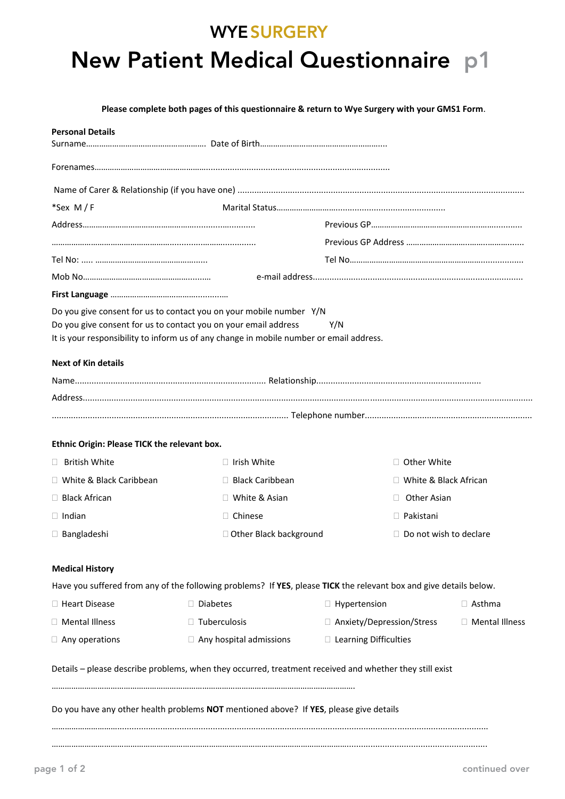### **WYE SURGERY**

# **New Patient Medical Questionnaire p1**

**Please complete both pages of this questionnaire & return to Wye Surgery with your GMS1 Form**.

| <b>Personal Details</b>                      |                                                                                         |                                                                                                                    |                  |  |  |  |  |  |
|----------------------------------------------|-----------------------------------------------------------------------------------------|--------------------------------------------------------------------------------------------------------------------|------------------|--|--|--|--|--|
|                                              |                                                                                         |                                                                                                                    |                  |  |  |  |  |  |
|                                              |                                                                                         |                                                                                                                    |                  |  |  |  |  |  |
|                                              |                                                                                         |                                                                                                                    |                  |  |  |  |  |  |
| *Sex M/F                                     |                                                                                         |                                                                                                                    |                  |  |  |  |  |  |
|                                              |                                                                                         |                                                                                                                    |                  |  |  |  |  |  |
|                                              |                                                                                         |                                                                                                                    |                  |  |  |  |  |  |
|                                              |                                                                                         |                                                                                                                    |                  |  |  |  |  |  |
|                                              |                                                                                         |                                                                                                                    |                  |  |  |  |  |  |
|                                              |                                                                                         |                                                                                                                    |                  |  |  |  |  |  |
|                                              | Do you give consent for us to contact you on your mobile number Y/N                     |                                                                                                                    |                  |  |  |  |  |  |
|                                              | Do you give consent for us to contact you on your email address                         | Y/N                                                                                                                |                  |  |  |  |  |  |
|                                              | It is your responsibility to inform us of any change in mobile number or email address. |                                                                                                                    |                  |  |  |  |  |  |
| <b>Next of Kin details</b>                   |                                                                                         |                                                                                                                    |                  |  |  |  |  |  |
|                                              |                                                                                         |                                                                                                                    |                  |  |  |  |  |  |
|                                              |                                                                                         |                                                                                                                    |                  |  |  |  |  |  |
|                                              |                                                                                         |                                                                                                                    |                  |  |  |  |  |  |
| Ethnic Origin: Please TICK the relevant box. |                                                                                         |                                                                                                                    |                  |  |  |  |  |  |
| $\Box$ British White                         | $\Box$ Irish White                                                                      | $\Box$ Other White                                                                                                 |                  |  |  |  |  |  |
| □ White & Black Caribbean                    | $\Box$ Black Caribbean                                                                  | □ White & Black African                                                                                            |                  |  |  |  |  |  |
| □ Black African                              | □ White & Asian                                                                         | □ Other Asian                                                                                                      |                  |  |  |  |  |  |
| $\Box$ Indian                                | $\Box$ Chinese                                                                          | $\Box$ Pakistani                                                                                                   |                  |  |  |  |  |  |
| $\Box$ Bangladeshi                           | □ Other Black background                                                                | $\Box$ Do not wish to declare                                                                                      |                  |  |  |  |  |  |
| <b>Medical History</b>                       |                                                                                         |                                                                                                                    |                  |  |  |  |  |  |
|                                              |                                                                                         | Have you suffered from any of the following problems? If YES, please TICK the relevant box and give details below. |                  |  |  |  |  |  |
| □ Heart Disease                              | $\Box$ Diabetes                                                                         | $\Box$ Hypertension                                                                                                | $\Box$ Asthma    |  |  |  |  |  |
| □ Mental Illness                             | $\Box$ Tuberculosis                                                                     | □ Anxiety/Depression/Stress                                                                                        | □ Mental Illness |  |  |  |  |  |
| $\Box$ Any operations                        | $\Box$ Any hospital admissions                                                          | □ Learning Difficulties                                                                                            |                  |  |  |  |  |  |
|                                              |                                                                                         | Details - please describe problems, when they occurred, treatment received and whether they still exist            |                  |  |  |  |  |  |
|                                              | Do you have any other health problems NOT mentioned above? If YES, please give details  |                                                                                                                    |                  |  |  |  |  |  |
|                                              |                                                                                         |                                                                                                                    |                  |  |  |  |  |  |